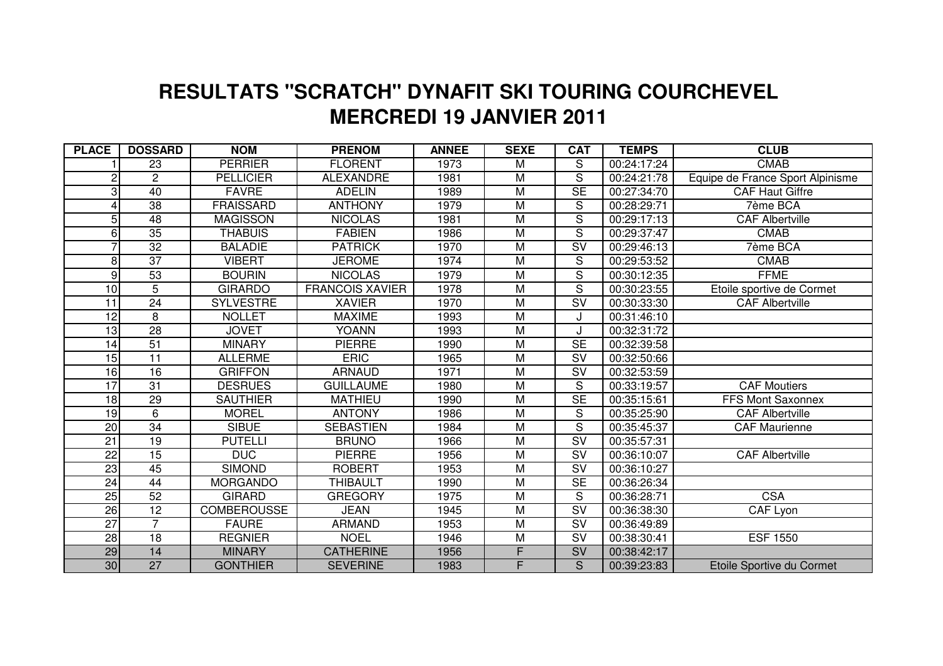## **MERCREDI 19 JANVIER 2011 RESULTATS "SCRATCH" DYNAFIT SKI TOURING COURCHEVEL**

| <b>PLACE</b>    | <b>DOSSARD</b>  | <b>NOM</b>         | <b>PRENOM</b>          | <b>ANNEE</b> | <b>SEXE</b>             | <b>CAT</b>               | <b>TEMPS</b> | <b>CLUB</b>                      |
|-----------------|-----------------|--------------------|------------------------|--------------|-------------------------|--------------------------|--------------|----------------------------------|
|                 | 23              | <b>PERRIER</b>     | <b>FLORENT</b>         | 1973         | M                       | S                        | 00:24:17:24  | <b>CMAB</b>                      |
| 2               | $\mathbf{2}$    | <b>PELLICIER</b>   | <b>ALEXANDRE</b>       | 1981         | M                       | $\overline{s}$           | 00:24:21:78  | Equipe de France Sport Alpinisme |
| 3               | 40              | <b>FAVRE</b>       | <b>ADELIN</b>          | 1989         | M                       | SE                       | 00:27:34:70  | <b>CAF Haut Giffre</b>           |
| Δ               | 38              | <b>FRAISSARD</b>   | <b>ANTHONY</b>         | 1979         | M                       | $\overline{S}$           | 00:28:29:71  | 7ème BCA                         |
| 5               | 48              | <b>MAGISSON</b>    | <b>NICOLAS</b>         | 1981         | M                       | S                        | 00:29:17:13  | <b>CAF Albertville</b>           |
| 6               | $\overline{35}$ | <b>THABUIS</b>     | <b>FABIEN</b>          | 1986         | M                       | $\overline{S}$           | 00:29:37:47  | <b>CMAB</b>                      |
|                 | 32              | <b>BALADIE</b>     | <b>PATRICK</b>         | 1970         | $\overline{\mathsf{M}}$ | $\overline{\text{SV}}$   | 00:29:46:13  | 7ème BCA                         |
| 8               | 37              | <b>VIBERT</b>      | <b>JEROME</b>          | 1974         | M                       | S                        | 00:29:53:52  | <b>CMAB</b>                      |
| 9               | 53              | <b>BOURIN</b>      | <b>NICOLAS</b>         | 1979         | $\overline{\mathsf{M}}$ | $\overline{\mathsf{s}}$  | 00:30:12:35  | <b>FFME</b>                      |
| 10              | 5               | <b>GIRARDO</b>     | <b>FRANCOIS XAVIER</b> | 1978         | M                       | S                        | 00:30:23:55  | Etoile sportive de Cormet        |
| 11              | 24              | <b>SYLVESTRE</b>   | <b>XAVIER</b>          | 1970         | M                       | $\overline{\mathsf{SV}}$ | 00:30:33:30  | <b>CAF Albertville</b>           |
| $\overline{12}$ | 8               | <b>NOLLET</b>      | <b>MAXIME</b>          | 1993         | M                       |                          | 00:31:46:10  |                                  |
| 13              | 28              | <b>JOVET</b>       | <b>YOANN</b>           | 1993         | M                       |                          | 00:32:31:72  |                                  |
| 14              | 51              | <b>MINARY</b>      | <b>PIERRE</b>          | 1990         | M                       | $\overline{\text{SE}}$   | 00:32:39:58  |                                  |
| 15              | 11              | <b>ALLERME</b>     | <b>ERIC</b>            | 1965         | M                       | <b>SV</b>                | 00:32:50:66  |                                  |
| 16              | $\overline{16}$ | <b>GRIFFON</b>     | <b>ARNAUD</b>          | 1971         | M                       | $\overline{\mathsf{SV}}$ | 00:32:53:59  |                                  |
| 17              | 31              | <b>DESRUES</b>     | <b>GUILLAUME</b>       | 1980         | M                       | S                        | 00:33:19:57  | <b>CAF Moutiers</b>              |
| 18              | 29              | <b>SAUTHIER</b>    | <b>MATHIEU</b>         | 1990         | M                       | $\overline{\text{SE}}$   | 00:35:15:61  | <b>FFS Mont Saxonnex</b>         |
| 19              | $\overline{6}$  | <b>MOREL</b>       | <b>ANTONY</b>          | 1986         | $\overline{\mathsf{M}}$ | $\overline{\mathsf{s}}$  | 00:35:25:90  | <b>CAF Albertville</b>           |
| <u>20</u>       | 34              | <b>SIBUE</b>       | <b>SEBASTIEN</b>       | 1984         | Μ                       | S                        | 00:35:45:37  | <b>CAF Maurienne</b>             |
| $\overline{21}$ | $\overline{19}$ | <b>PUTELLI</b>     | <b>BRUNO</b>           | 1966         | $\overline{\mathsf{M}}$ | $\overline{\mathsf{SV}}$ | 00:35:57:31  |                                  |
| $\overline{22}$ | $\overline{15}$ | <b>DUC</b>         | <b>PIERRE</b>          | 1956         | M                       | $\overline{\mathsf{SV}}$ | 00:36:10:07  | <b>CAF Albertville</b>           |
| 23              | 45              | <b>SIMOND</b>      | <b>ROBERT</b>          | 1953         | $\overline{\mathsf{M}}$ | $\overline{\text{SV}}$   | 00:36:10:27  |                                  |
| 24              | 44              | <b>MORGANDO</b>    | <b>THIBAULT</b>        | 1990         | M                       | <b>SE</b>                | 00:36:26:34  |                                  |
| $\overline{25}$ | 52              | <b>GIRARD</b>      | <b>GREGORY</b>         | 1975         | M                       | S                        | 00:36:28:71  | <b>CSA</b>                       |
| 26              | 12              | <b>COMBEROUSSE</b> | <b>JEAN</b>            | 1945         | M                       | $\overline{\mathsf{SV}}$ | 00:36:38:30  | CAF Lyon                         |
| $\overline{27}$ | $\overline{7}$  | <b>FAURE</b>       | <b>ARMAND</b>          | 1953         | M                       | SV                       | 00:36:49:89  |                                  |
| $\overline{28}$ | $\overline{18}$ | <b>REGNIER</b>     | <b>NOEL</b>            | 1946         | M                       | $\overline{\text{SV}}$   | 00:38:30:41  | <b>ESF 1550</b>                  |
| 29              | 14              | <b>MINARY</b>      | <b>CATHERINE</b>       | 1956         | F                       | SV                       | 00:38:42:17  |                                  |
| 30 <sup>°</sup> | 27              | <b>GONTHIER</b>    | <b>SEVERINE</b>        | 1983         | F                       | S.                       | 00:39:23:83  | Etoile Sportive du Cormet        |